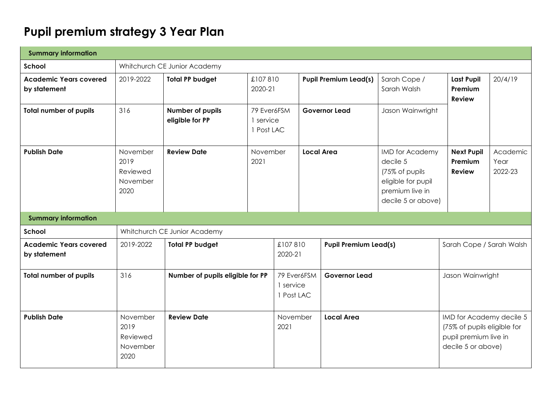# **Pupil premium strategy 3 Year Plan**

| <b>Summary information</b>                    |                                                  |                                     |                                        |                         |                                     |                              |                                                                                                                     |                                               |  |                                                         |
|-----------------------------------------------|--------------------------------------------------|-------------------------------------|----------------------------------------|-------------------------|-------------------------------------|------------------------------|---------------------------------------------------------------------------------------------------------------------|-----------------------------------------------|--|---------------------------------------------------------|
| School                                        |                                                  | Whitchurch CE Junior Academy        |                                        |                         |                                     |                              |                                                                                                                     |                                               |  |                                                         |
| <b>Academic Years covered</b><br>by statement | 2019-2022                                        | <b>Total PP budget</b>              | £107810<br>2020-21                     |                         |                                     | <b>Pupil Premium Lead(s)</b> | Sarah Cope /<br>Sarah Walsh                                                                                         | <b>Last Pupil</b><br>Premium<br><b>Review</b> |  | 20/4/19                                                 |
| <b>Total number of pupils</b>                 | 316                                              | Number of pupils<br>eligible for PP | 79 Ever6FSM<br>1 service<br>1 Post LAC |                         |                                     | <b>Governor Lead</b>         | Jason Wainwright                                                                                                    |                                               |  |                                                         |
| <b>Publish Date</b>                           | November<br>2019<br>Reviewed<br>November<br>2020 | <b>Review Date</b>                  | November<br>2021                       |                         | <b>Local Area</b>                   |                              | <b>IMD</b> for Academy<br>decile 5<br>(75% of pupils<br>eligible for pupil<br>premium live in<br>decile 5 or above) | <b>Next Pupil</b><br>Premium<br><b>Review</b> |  | Academic<br>Year<br>2022-23                             |
| <b>Summary information</b>                    |                                                  |                                     |                                        |                         |                                     |                              |                                                                                                                     |                                               |  |                                                         |
| School                                        |                                                  | Whitchurch CE Junior Academy        |                                        |                         |                                     |                              |                                                                                                                     |                                               |  |                                                         |
| <b>Academic Years covered</b><br>by statement | 2019-2022                                        | <b>Total PP budget</b>              |                                        | £107810<br>2020-21      |                                     | <b>Pupil Premium Lead(s)</b> |                                                                                                                     |                                               |  | Sarah Cope / Sarah Walsh                                |
| <b>Total number of pupils</b>                 | 316                                              | Number of pupils eligible for PP    |                                        | 1 service<br>1 Post LAC | 79 Ever6FSM<br><b>Governor Lead</b> |                              |                                                                                                                     | Jason Wainwright                              |  |                                                         |
| <b>Publish Date</b>                           | November<br>2019<br>Reviewed<br>November<br>2020 | <b>Review Date</b>                  |                                        | November<br>2021        |                                     | <b>Local Area</b>            |                                                                                                                     | pupil premium live in<br>decile 5 or above)   |  | IMD for Academy decile 5<br>(75% of pupils eligible for |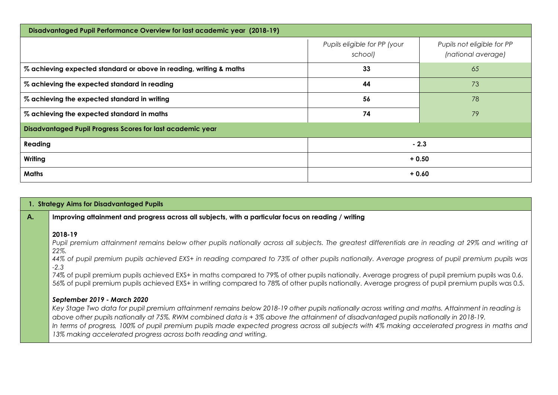| Disadvantaged Pupil Performance Overview for last academic year (2018-19) |                                         |                                                  |  |  |
|---------------------------------------------------------------------------|-----------------------------------------|--------------------------------------------------|--|--|
|                                                                           | Pupils eligible for PP (your<br>school) | Pupils not eligible for PP<br>(national average) |  |  |
| % achieving expected standard or above in reading, writing & maths        | 33                                      | 65                                               |  |  |
| % achieving the expected standard in reading                              | 44                                      | 73                                               |  |  |
| % achieving the expected standard in writing                              | 56                                      | 78                                               |  |  |
| % achieving the expected standard in maths                                | 74                                      | 79                                               |  |  |
| Disadvantaged Pupil Progress Scores for last academic year                |                                         |                                                  |  |  |
| Reading                                                                   |                                         | $-2.3$                                           |  |  |
| Writing                                                                   | $+0.50$                                 |                                                  |  |  |
| Maths                                                                     | $+0.60$                                 |                                                  |  |  |

#### **1. Strategy Aims for Disadvantaged Pupils**

#### **A. Improving attainment and progress across all subjects, with a particular focus on reading / writing**

#### **2018-19**

*Pupil premium attainment remains below other pupils nationally across all subjects. The greatest differentials are in reading at 29% and writing at 22%.*

*44% of pupil premium pupils achieved EXS+ in reading compared to 73% of other pupils nationally. Average progress of pupil premium pupils was -2.3*

74% of pupil premium pupils achieved EXS+ in maths compared to 79% of other pupils nationally. Average progress of pupil premium pupils was 0.6. 56% of pupil premium pupils achieved EXS+ in writing compared to 78% of other pupils nationally. Average progress of pupil premium pupils was 0.5.

#### *September 2019 - March 2020*

*Key Stage Two data for pupil premium attainment remains below 2018-19 other pupils nationally across writing and maths. Attainment in reading is above other pupils nationally at 75%. RWM combined data is + 3% above the attainment of disadvantaged pupils nationally in 2018-19. In terms of progress, 100% of pupil premium pupils made expected progress across all subjects with 4% making accelerated progress in maths and 13% making accelerated progress across both reading and writing.*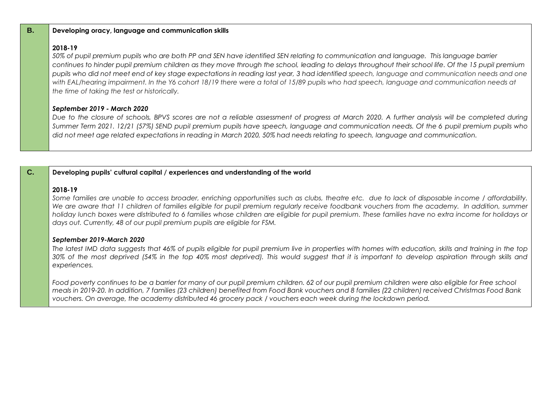#### **B. Developing oracy, language and communication skills**

### **2018-19**

*50% of pupil premium pupils who are both PP and SEN have identified SEN relating to communication and language. This language barrier continues to hinder pupil premium children as they move through the school, leading to delays throughout their school life. Of the 15 pupil premium pupils who did not meet end of key stage expectations in reading last year, 3 had identified speech, language and communication needs and one*  with EAL/hearing impairment. In the Y6 cohort 18/19 there were a total of 15/89 pupils who had speech, language and communication needs at *the time of taking the test or historically.*

#### *September 2019 - March 2020*

*Due to the closure of schools, BPVS scores are not a reliable assessment of progress at March 2020. A further analysis will be completed during Summer Term 2021. 12/21 (57%) SEND pupil premium pupils have speech, language and communication needs. Of the 6 pupil premium pupils who did not meet age related expectations in reading in March 2020, 50% had needs relating to speech, language and communication.*

#### **C. Developing pupils' cultural capital / experiences and understanding of the world**

#### **2018-19**

*Some families are unable to access broader, enriching opportunities such as clubs, theatre etc. due to lack of disposable income / affordability. We are aware that 11 children of families eligible for pupil premium regularly receive foodbank vouchers from the academy. In addition, summer holiday lunch boxes were distributed to 6 families whose children are eligible for pupil premium. These families have no extra income for holidays or days out. Currently, 48 of our pupil premium pupils are eligible for FSM.*

#### *September 2019-March 2020*

*The latest IMD data suggests that 46% of pupils eligible for pupil premium live in properties with homes with education, skills and training in the top 30% of the most deprived (54% in the top 40% most deprived). This would suggest that it is important to develop aspiration through skills and experiences.* 

*Food poverty continues to be a barrier for many of our pupil premium children. 62 of our pupil premium children were also eligible for Free school meals in 2019-20. In addition, 7 families (23 children) benefited from Food Bank vouchers and 8 families (22 children) received Christmas Food Bank vouchers. On average, the academy distributed 46 grocery pack / vouchers each week during the lockdown period.*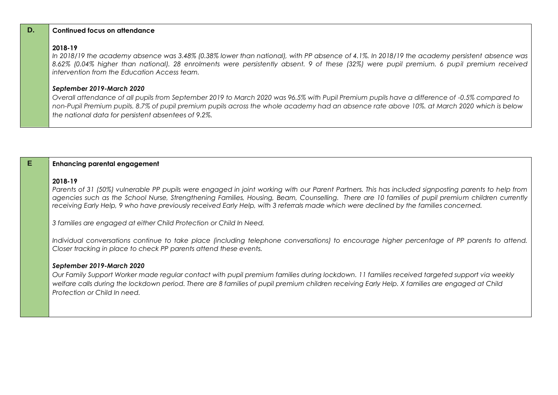|   | In 2018/19 the academy absence was 3.48% (0.38% lower than national), with PP absence of 4.1%. In 2018/19 the academy persistent absence was<br>8.62% (0.04% higher than national). 28 enrolments were persistently absent. 9 of these (32%) were pupil premium. 6 pupil premium received<br>intervention from the Education Access team.                                                                                                                                                                                          |  |
|---|------------------------------------------------------------------------------------------------------------------------------------------------------------------------------------------------------------------------------------------------------------------------------------------------------------------------------------------------------------------------------------------------------------------------------------------------------------------------------------------------------------------------------------|--|
|   | September 2019-March 2020<br>Overall attendance of all pupils from September 2019 to March 2020 was 96.5% with Pupil Premium pupils have a difference of -0.5% compared to<br>non-Pupil Premium pupils. 8.7% of pupil premium pupils across the whole academy had an absence rate above 10%, at March 2020 which is below<br>the national data for persistent absentees of 9.2%.                                                                                                                                                   |  |
|   |                                                                                                                                                                                                                                                                                                                                                                                                                                                                                                                                    |  |
| E | <b>Enhancing parental engagement</b>                                                                                                                                                                                                                                                                                                                                                                                                                                                                                               |  |
|   | 2018-19<br>Parents of 31 (50%) vulnerable PP pupils were engaged in joint working with our Parent Partners. This has included signposting parents to help from<br>agencies such as the School Nurse, Strengthening Families, Housing, Beam, Counselling. There are 10 families of pupil premium children currently<br>receiving Early Help, 9 who have previously received Early Help, with 3 referrals made which were declined by the families concerned.<br>3 families are engaged at either Child Protection or Child In Need. |  |
|   | Individual conversations continue to take place (including telephone conversations) to encourage higher percentage of PP parents to attend.<br>Closer tracking in place to check PP parents attend these events.                                                                                                                                                                                                                                                                                                                   |  |
|   | September 2019-March 2020<br>Our Family Support Worker made regular contact with pupil premium families during lockdown. 11 families received targeted support via weekly<br>welfare calls during the lockdown period. There are 8 families of pupil premium children receiving Early Help. X families are engaged at Child<br>Protection or Child In need.                                                                                                                                                                        |  |

#### **D.** Continued focus on attendance

## **2018-19**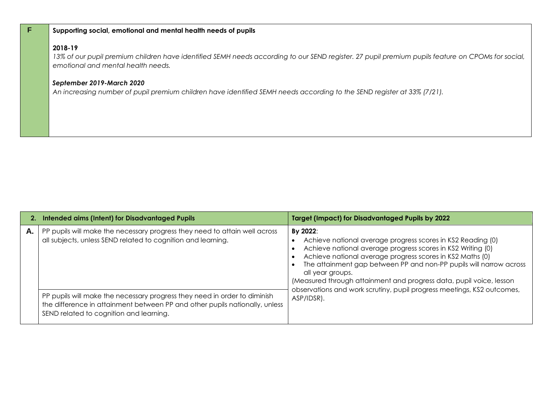#### **F Supporting social, emotional and mental health needs of pupils**

### **2018-19**

*13% of our pupil premium children have identified SEMH needs according to our SEND register. 27 pupil premium pupils feature on CPOMs for social, emotional and mental health needs.*

#### *September 2019-March 2020*

*An increasing number of pupil premium children have identified SEMH needs according to the SEND register at 33% (7/21).*

|    | 2. Intended aims (Intent) for Disadvantaged Pupils                                                                                                                                                  | <b>Target (Impact) for Disadvantaged Pupils by 2022</b>                                                                                                                                                                                                                                                                                                              |
|----|-----------------------------------------------------------------------------------------------------------------------------------------------------------------------------------------------------|----------------------------------------------------------------------------------------------------------------------------------------------------------------------------------------------------------------------------------------------------------------------------------------------------------------------------------------------------------------------|
| А. | PP pupils will make the necessary progress they need to attain well across<br>all subjects, unless SEND related to cognition and learning.                                                          | By 2022:<br>Achieve national average progress scores in KS2 Reading (0)<br>Achieve national average progress scores in KS2 Writing (0)<br>Achieve national average progress scores in KS2 Maths (0)<br>The attainment gap between PP and non-PP pupils will narrow across<br>all year groups.<br>(Measured through attainment and progress data, pupil voice, lesson |
|    | PP pupils will make the necessary progress they need in order to diminish<br>the difference in attainment between PP and other pupils nationally, unless<br>SEND related to cognition and learning. | observations and work scrutiny, pupil progress meetings, KS2 outcomes,<br>ASP/IDSR).                                                                                                                                                                                                                                                                                 |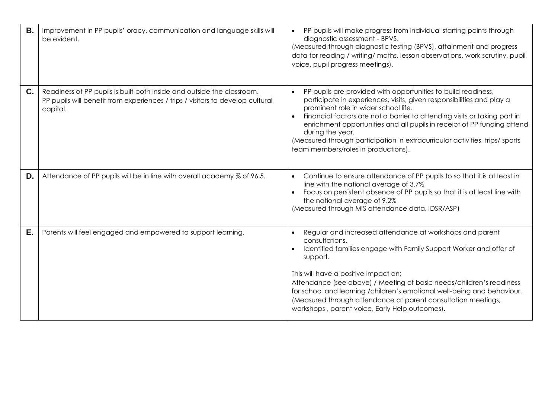| <b>B.</b> | Improvement in PP pupils' oracy, communication and language skills will<br>be evident.                                                                               | PP pupils will make progress from individual starting points through<br>diagnostic assessment - BPVS.<br>(Measured through diagnostic testing (BPVS), attainment and progress<br>data for reading / writing/ maths, lesson observations, work scrutiny, pupil<br>voice, pupil progress meetings).                                                                                                                                                                                                          |
|-----------|----------------------------------------------------------------------------------------------------------------------------------------------------------------------|------------------------------------------------------------------------------------------------------------------------------------------------------------------------------------------------------------------------------------------------------------------------------------------------------------------------------------------------------------------------------------------------------------------------------------------------------------------------------------------------------------|
| C.        | Readiness of PP pupils is built both inside and outside the classroom.<br>PP pupils will benefit from experiences / trips / visitors to develop cultural<br>capital. | PP pupils are provided with opportunities to build readiness,<br>$\bullet$<br>participate in experiences, visits, given responsibilities and play a<br>prominent role in wider school life.<br>Financial factors are not a barrier to attending visits or taking part in<br>$\bullet$<br>enrichment opportunities and all pupils in receipt of PP funding attend<br>during the year.<br>(Measured through participation in extracurricular activities, trips/sports<br>team members/roles in productions). |
| D.        | Attendance of PP pupils will be in line with overall academy % of 96.5.                                                                                              | Continue to ensure attendance of PP pupils to so that it is at least in<br>$\bullet$<br>line with the national average of 3.7%<br>Focus on persistent absence of PP pupils so that it is at least line with<br>the national average of 9.2%<br>(Measured through MIS attendance data, IDSR/ASP)                                                                                                                                                                                                            |
| Ε.        | Parents will feel engaged and empowered to support learning.                                                                                                         | Regular and increased attendance at workshops and parent<br>consultations.<br>Identified families engage with Family Support Worker and offer of<br>support.<br>This will have a positive impact on;<br>Attendance (see above) / Meeting of basic needs/children's readiness<br>for school and learning /children's emotional well-being and behaviour.<br>(Measured through attendance at parent consultation meetings,<br>workshops, parent voice, Early Help outcomes).                                 |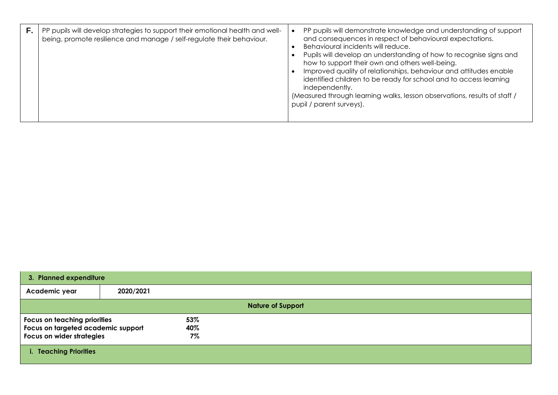| PP pupils will develop strategies to support their emotional health and well-<br>being, promote resilience and manage / self-regulate their behaviour. | PP pupils will demonstrate knowledge and understanding of support<br>and consequences in respect of behavioural expectations.<br>Behavioural incidents will reduce.<br>Pupils will develop an understanding of how to recognise signs and<br>how to support their own and others well-being.<br>Improved quality of relationships, behaviour and attitudes enable<br>identified children to be ready for school and to access learning<br>independently.<br>(Measured through learning walks, lesson observations, results of staff /<br>pupil / parent surveys). |
|--------------------------------------------------------------------------------------------------------------------------------------------------------|-------------------------------------------------------------------------------------------------------------------------------------------------------------------------------------------------------------------------------------------------------------------------------------------------------------------------------------------------------------------------------------------------------------------------------------------------------------------------------------------------------------------------------------------------------------------|
|--------------------------------------------------------------------------------------------------------------------------------------------------------|-------------------------------------------------------------------------------------------------------------------------------------------------------------------------------------------------------------------------------------------------------------------------------------------------------------------------------------------------------------------------------------------------------------------------------------------------------------------------------------------------------------------------------------------------------------------|

| 3. Planned expenditure                                                                          |           |                     |  |  |
|-------------------------------------------------------------------------------------------------|-----------|---------------------|--|--|
| Academic year                                                                                   | 2020/2021 |                     |  |  |
| <b>Nature of Support</b>                                                                        |           |                     |  |  |
| Focus on teaching priorities<br>Focus on targeted academic support<br>Focus on wider strategies |           | 53%<br>40%<br>$7\%$ |  |  |
| i. Teaching Priorities                                                                          |           |                     |  |  |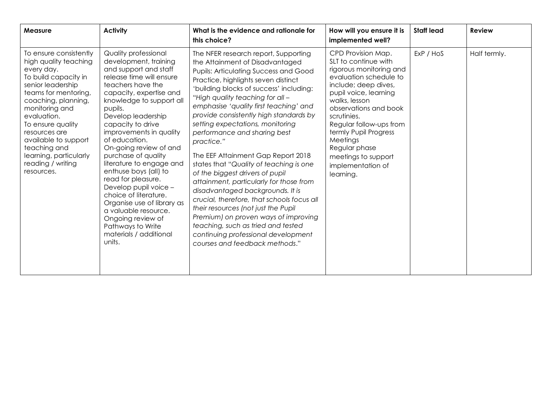| <b>Measure</b>                                                                                                                                                                                                                                                                                                                        | <b>Activity</b>                                                                                                                                                                                                                                                                                                                                                                                                                                                                                                                                                                                    | What is the evidence and rationale for<br>this choice?                                                                                                                                                                                                                                                                                                                                                                                                                                                                                                                                                                                                                                                                                                                                                                                                             | How will you ensure it is<br>implemented well?                                                                                                                                                                                                                                                                                                      | <b>Staff lead</b> | <b>Review</b> |
|---------------------------------------------------------------------------------------------------------------------------------------------------------------------------------------------------------------------------------------------------------------------------------------------------------------------------------------|----------------------------------------------------------------------------------------------------------------------------------------------------------------------------------------------------------------------------------------------------------------------------------------------------------------------------------------------------------------------------------------------------------------------------------------------------------------------------------------------------------------------------------------------------------------------------------------------------|--------------------------------------------------------------------------------------------------------------------------------------------------------------------------------------------------------------------------------------------------------------------------------------------------------------------------------------------------------------------------------------------------------------------------------------------------------------------------------------------------------------------------------------------------------------------------------------------------------------------------------------------------------------------------------------------------------------------------------------------------------------------------------------------------------------------------------------------------------------------|-----------------------------------------------------------------------------------------------------------------------------------------------------------------------------------------------------------------------------------------------------------------------------------------------------------------------------------------------------|-------------------|---------------|
| To ensure consistently<br>high quality teaching<br>every day.<br>To build capacity in<br>senior leadership<br>teams for mentoring,<br>coaching, planning,<br>monitoring and<br>evaluation.<br>To ensure quality<br>resources are<br>available to support<br>teaching and<br>learning, particularly<br>reading / writing<br>resources. | Quality professional<br>development, training<br>and support and staff<br>release time will ensure<br>teachers have the<br>capacity, expertise and<br>knowledge to support all<br>pupils.<br>Develop leadership<br>capacity to drive<br>improvements in quality<br>of education.<br>On-going review of and<br>purchase of quality<br>literature to engage and<br>enthuse boys (all) to<br>read for pleasure.<br>Develop pupil voice -<br>choice of literature.<br>Organise use of library as<br>a valuable resource.<br>Ongoing review of<br>Pathways to Write<br>materials / additional<br>units. | The NFER research report, Supporting<br>the Attainment of Disadvantaged<br><b>Pupils: Articulating Success and Good</b><br>Practice, highlights seven distinct<br>'building blocks of success' including:<br>"High quality teaching for all -<br>emphasise 'quality first teaching' and<br>provide consistently high standards by<br>setting expectations, monitoring<br>performance and sharing best<br>practice."<br>The EEF Attainment Gap Report 2018<br>states that "Quality of teaching is one<br>of the biggest drivers of pupil<br>attainment, particularly for those from<br>disadvantaged backgrounds. It is<br>crucial, therefore, that schools focus all<br>their resources (not just the Pupil<br>Premium) on proven ways of improving<br>teaching, such as tried and tested<br>continuing professional development<br>courses and feedback methods." | CPD Provision Map.<br>SLT to continue with<br>rigorous monitoring and<br>evaluation schedule to<br>include; deep dives,<br>pupil voice, learning<br>walks, lesson<br>observations and book<br>scrutinies.<br>Regular follow-ups from<br>termly Pupil Progress<br>Meetings<br>Regular phase<br>meetings to support<br>implementation of<br>learning. | ExP / HoS         | Half termly.  |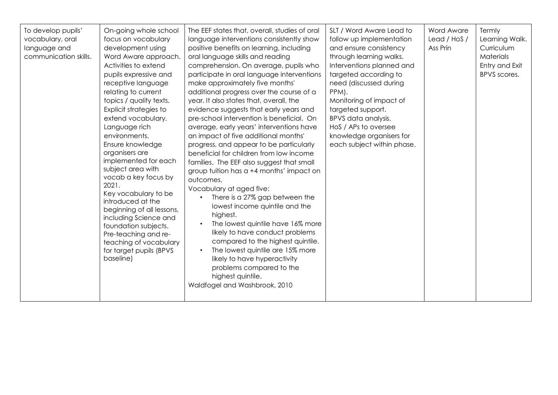| To develop pupils'<br>vocabulary, oral<br>language and<br>communication skills. | On-going whole school<br>focus on vocabulary<br>development using<br>Word Aware approach.<br>Activities to extend<br>pupils expressive and<br>receptive language<br>relating to current<br>topics / quality texts.<br>Explicit strategies to<br>extend vocabulary.<br>Language rich<br>environments.<br>Ensure knowledge<br>organisers are<br>implemented for each<br>subject area with<br>vocab a key focus by<br>2021.<br>Key vocabulary to be<br>introduced at the<br>beginning of all lessons,<br>including Science and<br>foundation subjects.<br>Pre-teaching and re-<br>teaching of vocabulary<br>for target pupils (BPVS<br>baseline) | The EEF states that, overall, studies of oral<br>language interventions consistently show<br>positive benefits on learning, including<br>oral language skills and reading<br>comprehension. On average, pupils who<br>participate in oral language interventions<br>make approximately five months'<br>additional progress over the course of a<br>year. It also states that, overall, the<br>evidence suggests that early years and<br>pre-school intervention is beneficial. On<br>average, early years' interventions have<br>an impact of five additional months'<br>progress, and appear to be particularly<br>beneficial for children from low income<br>families. The EEF also suggest that small<br>group tuition has a +4 months' impact on<br>outcomes.<br>Vocabulary at aged five:<br>There is a 27% gap between the<br>lowest income quintile and the<br>highest.<br>The lowest quintile have 16% more<br>likely to have conduct problems<br>compared to the highest quintile.<br>The lowest quintile are 15% more<br>likely to have hyperactivity<br>problems compared to the<br>highest quintile.<br>Waldfogel and Washbrook, 2010 | SLT / Word Aware Lead to<br>follow up implementation<br>and ensure consistency<br>through learning walks.<br>Interventions planned and<br>targeted according to<br>need (discussed during<br>PPM).<br>Monitoring of impact of<br>targeted support.<br>BPVS data analysis.<br>HoS / APs to oversee<br>knowledge organisers for<br>each subject within phase. | Word Aware<br>Lead / HoS /<br>Ass Prin | Termly<br>Learning Walk.<br>Curriculum<br><b>Materials</b><br>Entry and Exit<br>BPVS scores. |
|---------------------------------------------------------------------------------|-----------------------------------------------------------------------------------------------------------------------------------------------------------------------------------------------------------------------------------------------------------------------------------------------------------------------------------------------------------------------------------------------------------------------------------------------------------------------------------------------------------------------------------------------------------------------------------------------------------------------------------------------|--------------------------------------------------------------------------------------------------------------------------------------------------------------------------------------------------------------------------------------------------------------------------------------------------------------------------------------------------------------------------------------------------------------------------------------------------------------------------------------------------------------------------------------------------------------------------------------------------------------------------------------------------------------------------------------------------------------------------------------------------------------------------------------------------------------------------------------------------------------------------------------------------------------------------------------------------------------------------------------------------------------------------------------------------------------------------------------------------------------------------------------------------|-------------------------------------------------------------------------------------------------------------------------------------------------------------------------------------------------------------------------------------------------------------------------------------------------------------------------------------------------------------|----------------------------------------|----------------------------------------------------------------------------------------------|
|---------------------------------------------------------------------------------|-----------------------------------------------------------------------------------------------------------------------------------------------------------------------------------------------------------------------------------------------------------------------------------------------------------------------------------------------------------------------------------------------------------------------------------------------------------------------------------------------------------------------------------------------------------------------------------------------------------------------------------------------|--------------------------------------------------------------------------------------------------------------------------------------------------------------------------------------------------------------------------------------------------------------------------------------------------------------------------------------------------------------------------------------------------------------------------------------------------------------------------------------------------------------------------------------------------------------------------------------------------------------------------------------------------------------------------------------------------------------------------------------------------------------------------------------------------------------------------------------------------------------------------------------------------------------------------------------------------------------------------------------------------------------------------------------------------------------------------------------------------------------------------------------------------|-------------------------------------------------------------------------------------------------------------------------------------------------------------------------------------------------------------------------------------------------------------------------------------------------------------------------------------------------------------|----------------------------------------|----------------------------------------------------------------------------------------------|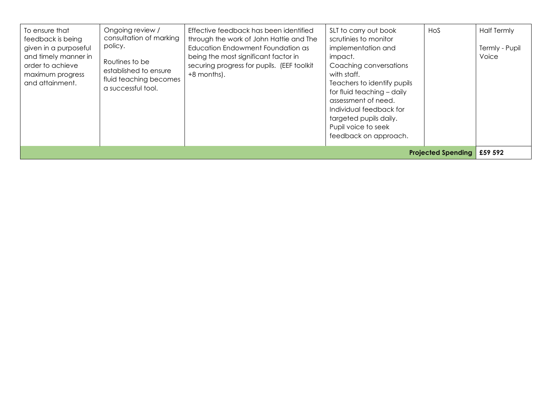| To ensure that<br>feedback is being<br>given in a purposeful<br>and timely manner in<br>order to achieve<br>maximum progress<br>and attainment. | Ongoing review /<br>consultation of marking<br>policy.<br>Routines to be<br>established to ensure<br>fluid teaching becomes<br>a successful tool. | Effective feedback has been identified<br>through the work of John Hattie and The<br>Education Endowment Foundation as<br>being the most significant factor in<br>securing progress for pupils. (EEF toolkit<br>+8 months). | SLT to carry out book<br>scrutinies to monitor<br>implementation and<br>impact.<br>Coaching conversations<br>with staff.<br>Teachers to identify pupils<br>for fluid teaching - daily<br>assessment of need.<br>Individual feedback for<br>targeted pupils daily.<br>Pupil voice to seek<br>feedback on approach. | HOS | <b>Half Termly</b><br>Termly - Pupil<br>Voice |
|-------------------------------------------------------------------------------------------------------------------------------------------------|---------------------------------------------------------------------------------------------------------------------------------------------------|-----------------------------------------------------------------------------------------------------------------------------------------------------------------------------------------------------------------------------|-------------------------------------------------------------------------------------------------------------------------------------------------------------------------------------------------------------------------------------------------------------------------------------------------------------------|-----|-----------------------------------------------|
| <b>Projected Spending E59 592</b>                                                                                                               |                                                                                                                                                   |                                                                                                                                                                                                                             |                                                                                                                                                                                                                                                                                                                   |     |                                               |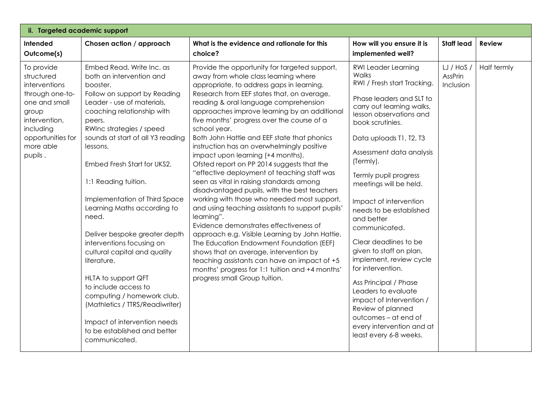| ii. Targeted academic support                                                                                                                                     |                                                                                                                                                                                                                                                                                                                                                                                                                                                                                                                                                                                                                                                                                                    |                                                                                                                                                                                                                                                                                                                                                                                                                                                                                                                                                                                                                                                                                                                                                                                                                                                                                                                                                                                                                                                                                                           |                                                                                                                                                                                                                                                                                                                                                                                                                                                                                                                                                                                                                                                                                 |                                    |               |  |  |  |
|-------------------------------------------------------------------------------------------------------------------------------------------------------------------|----------------------------------------------------------------------------------------------------------------------------------------------------------------------------------------------------------------------------------------------------------------------------------------------------------------------------------------------------------------------------------------------------------------------------------------------------------------------------------------------------------------------------------------------------------------------------------------------------------------------------------------------------------------------------------------------------|-----------------------------------------------------------------------------------------------------------------------------------------------------------------------------------------------------------------------------------------------------------------------------------------------------------------------------------------------------------------------------------------------------------------------------------------------------------------------------------------------------------------------------------------------------------------------------------------------------------------------------------------------------------------------------------------------------------------------------------------------------------------------------------------------------------------------------------------------------------------------------------------------------------------------------------------------------------------------------------------------------------------------------------------------------------------------------------------------------------|---------------------------------------------------------------------------------------------------------------------------------------------------------------------------------------------------------------------------------------------------------------------------------------------------------------------------------------------------------------------------------------------------------------------------------------------------------------------------------------------------------------------------------------------------------------------------------------------------------------------------------------------------------------------------------|------------------------------------|---------------|--|--|--|
| Intended<br>Outcome(s)                                                                                                                                            | Chosen action / approach                                                                                                                                                                                                                                                                                                                                                                                                                                                                                                                                                                                                                                                                           | What is the evidence and rationale for this<br>choice?                                                                                                                                                                                                                                                                                                                                                                                                                                                                                                                                                                                                                                                                                                                                                                                                                                                                                                                                                                                                                                                    | How will you ensure it is<br>implemented well?                                                                                                                                                                                                                                                                                                                                                                                                                                                                                                                                                                                                                                  | <b>Staff lead</b>                  | <b>Review</b> |  |  |  |
| To provide<br>structured<br>interventions<br>through one-to-<br>one and small<br>group<br>intervention,<br>including<br>opportunities for<br>more able<br>pupils. | Embed Read, Write Inc. as<br>both an intervention and<br>booster.<br>Follow on support by Reading<br>Leader - use of materials,<br>coaching relationship with<br>peers.<br>RWInc strategies / speed<br>sounds at start of all Y3 reading<br>lessons.<br>Embed Fresh Start for UKS2.<br>1:1 Reading tuition.<br>Implementation of Third Space<br>Learning Maths according to<br>need.<br>Deliver bespoke greater depth<br>interventions focusing on<br>cultural capital and quality<br>literature.<br>HLTA to support QFT<br>to include access to<br>computing / homework club.<br>(Mathletics / TTRS/Readiwriter)<br>Impact of intervention needs<br>to be established and better<br>communicated. | Provide the opportunity for targeted support,<br>away from whole class learning where<br>appropriate, to address gaps in learning.<br>Research from EEF states that, on average,<br>reading & oral language comprehension<br>approaches improve learning by an additional<br>five months' progress over the course of a<br>school year.<br>Both John Hattie and EEF state that phonics<br>instruction has an overwhelmingly positive<br>impact upon learning (+4 months).<br>Ofsted report on PP 2014 suggests that the<br>"effective deployment of teaching staff was<br>seen as vital in raising standards among<br>disadvantaged pupils, with the best teachers<br>working with those who needed most support,<br>and using teaching assistants to support pupils'<br>learning".<br>Evidence demonstrates effectiveness of<br>approach e.g. Visible Learning by John Hattie.<br>The Education Endowment Foundation (EEF)<br>shows that on average, intervention by<br>teaching assistants can have an impact of +5<br>months' progress for 1:1 tuition and +4 months'<br>progress small Group tuition. | <b>RWI Leader Learning</b><br><b>Walks</b><br>RWI / Fresh start Tracking<br>Phase leaders and SLT to<br>carry out learning walks,<br>lesson observations and<br>book scrutinies.<br>Data uploads T1, T2, T3<br>Assessment data analysis<br>(Termly).<br>Termly pupil progress<br>meetings will be held.<br>Impact of intervention<br>needs to be established<br>and better<br>communicated.<br>Clear deadlines to be<br>given to staff on plan,<br>implement, review cycle<br>for intervention.<br>Ass Principal / Phase<br>Leaders to evaluate<br>impact of Intervention /<br>Review of planned<br>outcomes - at end of<br>every intervention and at<br>least every 6-8 weeks. | LJ / HoS /<br>AssPrin<br>Inclusion | Half termly   |  |  |  |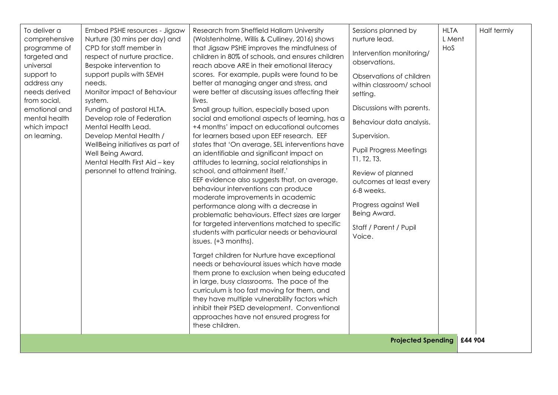| To deliver a<br>comprehensive<br>programme of<br>targeted and<br>universal<br>support to<br>address any<br>needs derived<br>from social,<br>emotional and<br>mental health<br>which impact<br>on learning. | Embed PSHE resources - Jigsaw<br>Nurture (30 mins per day) and<br>CPD for staff member in<br>respect of nurture practice.<br>Bespoke intervention to<br>support pupils with SEMH<br>needs.<br>Monitor impact of Behaviour<br>system.<br>Funding of pastoral HLTA.<br>Develop role of Federation<br>Mental Health Lead.<br>Develop Mental Health /<br>WellBeing initiatives as part of<br>Well Being Award.<br>Mental Health First Aid - key<br>personnel to attend training. | Research from Sheffield Hallam University<br>(Wolstenholme, Willis & Culliney, 2016) shows<br>that Jigsaw PSHE improves the mindfulness of<br>children in 80% of schools, and ensures children<br>reach above ARE in their emotional literacy<br>scores. For example, pupils were found to be<br>better at managing anger and stress, and<br>were better at discussing issues affecting their<br>lives.<br>Small group tuition, especially based upon<br>social and emotional aspects of learning, has a<br>+4 months' impact on educational outcomes<br>for learners based upon EEF research. EEF<br>states that 'On average, SEL interventions have<br>an identifiable and significant impact on<br>attitudes to learning, social relationships in<br>school, and attainment itself.'<br>EEF evidence also suggests that, on average,<br>behaviour interventions can produce<br>moderate improvements in academic<br>performance along with a decrease in<br>problematic behaviours. Effect sizes are larger<br>for targeted interventions matched to specific<br>students with particular needs or behavioural<br>issues. (+3 months).<br>Target children for Nurture have exceptional<br>needs or behavioural issues which have made<br>them prone to exclusion when being educated<br>in large, busy classrooms. The pace of the<br>curriculum is too fast moving for them, and<br>they have multiple vulnerability factors which<br>inhibit their PSED development. Conventional<br>approaches have not ensured progress for<br>these children. | Sessions planned by<br>nurture lead.<br>Intervention monitoring/<br>observations.<br>Observations of children<br>within classroom/ school<br>setting.<br>Discussions with parents.<br>Behaviour data analysis.<br>Supervision.<br><b>Pupil Progress Meetings</b><br>T1, T2, T3.<br>Review of planned<br>outcomes at least every<br>6-8 weeks.<br>Progress against Well<br>Being Award.<br>Staff / Parent / Pupil<br>Voice.<br><b>Projected Spending</b> | <b>HLTA</b><br>L Ment<br>HoS<br>£44 904 | Half termly |
|------------------------------------------------------------------------------------------------------------------------------------------------------------------------------------------------------------|------------------------------------------------------------------------------------------------------------------------------------------------------------------------------------------------------------------------------------------------------------------------------------------------------------------------------------------------------------------------------------------------------------------------------------------------------------------------------|-------------------------------------------------------------------------------------------------------------------------------------------------------------------------------------------------------------------------------------------------------------------------------------------------------------------------------------------------------------------------------------------------------------------------------------------------------------------------------------------------------------------------------------------------------------------------------------------------------------------------------------------------------------------------------------------------------------------------------------------------------------------------------------------------------------------------------------------------------------------------------------------------------------------------------------------------------------------------------------------------------------------------------------------------------------------------------------------------------------------------------------------------------------------------------------------------------------------------------------------------------------------------------------------------------------------------------------------------------------------------------------------------------------------------------------------------------------------------------------------------------------------------------------------------------|---------------------------------------------------------------------------------------------------------------------------------------------------------------------------------------------------------------------------------------------------------------------------------------------------------------------------------------------------------------------------------------------------------------------------------------------------------|-----------------------------------------|-------------|
|------------------------------------------------------------------------------------------------------------------------------------------------------------------------------------------------------------|------------------------------------------------------------------------------------------------------------------------------------------------------------------------------------------------------------------------------------------------------------------------------------------------------------------------------------------------------------------------------------------------------------------------------------------------------------------------------|-------------------------------------------------------------------------------------------------------------------------------------------------------------------------------------------------------------------------------------------------------------------------------------------------------------------------------------------------------------------------------------------------------------------------------------------------------------------------------------------------------------------------------------------------------------------------------------------------------------------------------------------------------------------------------------------------------------------------------------------------------------------------------------------------------------------------------------------------------------------------------------------------------------------------------------------------------------------------------------------------------------------------------------------------------------------------------------------------------------------------------------------------------------------------------------------------------------------------------------------------------------------------------------------------------------------------------------------------------------------------------------------------------------------------------------------------------------------------------------------------------------------------------------------------------|---------------------------------------------------------------------------------------------------------------------------------------------------------------------------------------------------------------------------------------------------------------------------------------------------------------------------------------------------------------------------------------------------------------------------------------------------------|-----------------------------------------|-------------|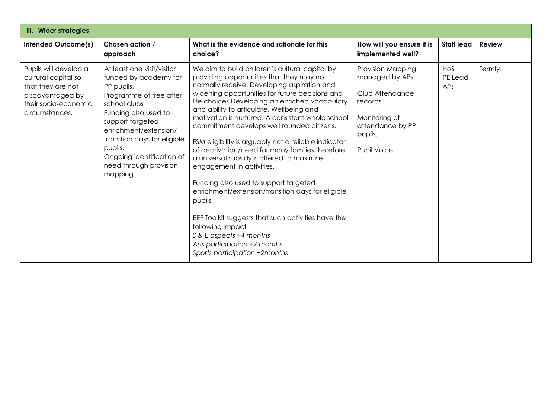| iii. Wider strategies                                                                                                           |                                                                                                                                                                                                                                                                                                |                                                                                                                                                                                                                                                                                                                                                                                                                                                                                                                                                                                                                                                                                                                                                                                                                                                                     |                                                                                                                                    |                       |               |  |  |
|---------------------------------------------------------------------------------------------------------------------------------|------------------------------------------------------------------------------------------------------------------------------------------------------------------------------------------------------------------------------------------------------------------------------------------------|---------------------------------------------------------------------------------------------------------------------------------------------------------------------------------------------------------------------------------------------------------------------------------------------------------------------------------------------------------------------------------------------------------------------------------------------------------------------------------------------------------------------------------------------------------------------------------------------------------------------------------------------------------------------------------------------------------------------------------------------------------------------------------------------------------------------------------------------------------------------|------------------------------------------------------------------------------------------------------------------------------------|-----------------------|---------------|--|--|
| <b>Intended Outcome(s)</b>                                                                                                      | Chosen action /<br>approach                                                                                                                                                                                                                                                                    | What is the evidence and rationale for this<br>choice?                                                                                                                                                                                                                                                                                                                                                                                                                                                                                                                                                                                                                                                                                                                                                                                                              | How will you ensure it is<br>implemented well?                                                                                     | <b>Staff lead</b>     | <b>Review</b> |  |  |
| Pupils will develop a<br>cultural capital so<br>that they are not<br>disadvantaged by<br>their socio-economic<br>circumstances. | At least one visit/visitor<br>funded by academy for<br>PP pupils.<br>Programme of free after<br>school clubs<br>Funding also used to<br>support targeted<br>enrichment/extension/<br>transition days for eligible<br>pupils.<br>Ongoing identification of<br>need through provision<br>mapping | We aim to build children's cultural capital by<br>providing opportunities that they may not<br>normally receive. Developing aspiration and<br>widening opportunities for future decisions and<br>life choices Developing an enriched vocabulary<br>and ability to articulate. Wellbeing and<br>motivation is nurtured. A consistent whole school<br>commitment develops well rounded citizens.<br>FSM eligibility is arguably not a reliable indicator<br>of deprivation/need for many families therefore<br>a universal subsidy is offered to maximise<br>engagement in activities.<br>Funding also used to support targeted<br>enrichment/extension/transition days for eligible<br>pupils.<br>EEF Toolkit suggests that such activities have the<br>following impact<br>S & E aspects +4 months<br>Arts participation +2 months<br>Sports participation +2months | Provision Mapping<br>managed by APs<br>Club Attendance<br>records.<br>Monitoring of<br>attendance by PP<br>pupils.<br>Pupil Voice. | Hos<br>PE Lead<br>APs | Termly.       |  |  |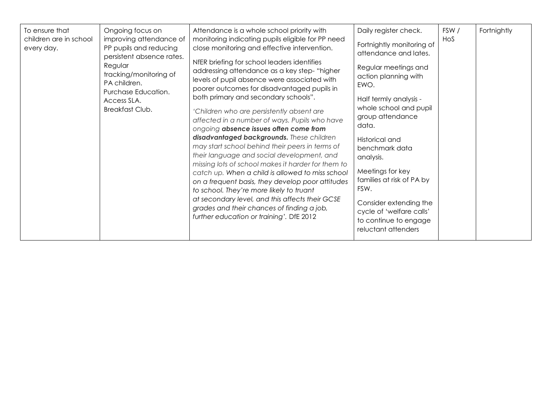| To ensure that<br>children are in school<br>every day. | Ongoing focus on<br>improving attendance of<br>PP pupils and reducing<br>persistent absence rates.<br>Regular<br>tracking/monitoring of<br>PA children.<br>Purchase Education.<br>Access SLA.<br>Breakfast Club. | Attendance is a whole school priority with<br>monitoring indicating pupils eligible for PP need<br>close monitoring and effective intervention.<br>NfER briefing for school leaders identifies<br>addressing attendance as a key step-"higher<br>levels of pupil absence were associated with<br>poorer outcomes for disadvantaged pupils in<br>both primary and secondary schools".<br>'Children who are persistently absent are<br>affected in a number of ways. Pupils who have<br>ongoing absence issues often come from<br>disadvantaged backgrounds. These children<br>may start school behind their peers in terms of<br>their language and social development, and<br>missing lots of school makes it harder for them to<br>catch up. When a child is allowed to miss school<br>on a frequent basis, they develop poor attitudes<br>to school. They're more likely to truant<br>at secondary level, and this affects their GCSE<br>grades and their chances of finding a job,<br>further education or training'. DfE 2012 | Daily register check.<br>Fortnightly monitoring of<br>attendance and lates.<br>Regular meetings and<br>action planning with<br>EWO.<br>Half termly analysis -<br>whole school and pupil<br>group attendance<br>data.<br>Historical and<br>benchmark data<br>analysis.<br>Meetings for key<br>families at risk of PA by<br>FSW.<br>Consider extending the<br>cycle of 'welfare calls'<br>to continue to engage<br>reluctant attenders | FSW/<br>HoS | Fortnightly |
|--------------------------------------------------------|------------------------------------------------------------------------------------------------------------------------------------------------------------------------------------------------------------------|-----------------------------------------------------------------------------------------------------------------------------------------------------------------------------------------------------------------------------------------------------------------------------------------------------------------------------------------------------------------------------------------------------------------------------------------------------------------------------------------------------------------------------------------------------------------------------------------------------------------------------------------------------------------------------------------------------------------------------------------------------------------------------------------------------------------------------------------------------------------------------------------------------------------------------------------------------------------------------------------------------------------------------------|--------------------------------------------------------------------------------------------------------------------------------------------------------------------------------------------------------------------------------------------------------------------------------------------------------------------------------------------------------------------------------------------------------------------------------------|-------------|-------------|
|--------------------------------------------------------|------------------------------------------------------------------------------------------------------------------------------------------------------------------------------------------------------------------|-----------------------------------------------------------------------------------------------------------------------------------------------------------------------------------------------------------------------------------------------------------------------------------------------------------------------------------------------------------------------------------------------------------------------------------------------------------------------------------------------------------------------------------------------------------------------------------------------------------------------------------------------------------------------------------------------------------------------------------------------------------------------------------------------------------------------------------------------------------------------------------------------------------------------------------------------------------------------------------------------------------------------------------|--------------------------------------------------------------------------------------------------------------------------------------------------------------------------------------------------------------------------------------------------------------------------------------------------------------------------------------------------------------------------------------------------------------------------------------|-------------|-------------|